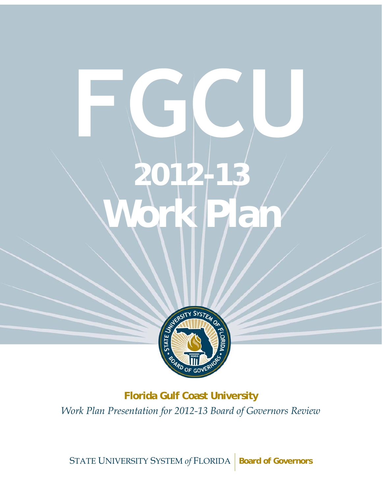# **Work Plan 2012-13**  Work Plan



**Florida Gulf Coast University** *Work Plan Presentation for 2012-13 Board of Governors Review* 

STATE UNIVERSITY SYSTEM of FLORIDA | Board of Governors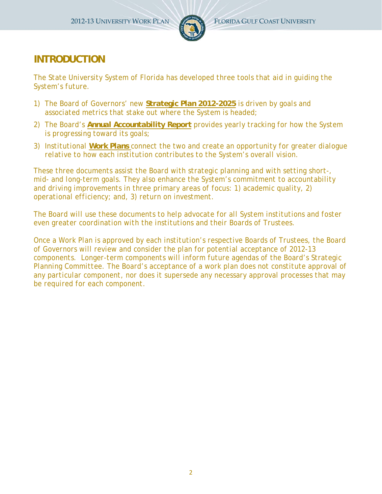

## **INTRODUCTION**

*The State University System of Florida has developed three tools that aid in guiding the System's future.* 

- *1) The Board of Governors' new Strategic Plan 2012-2025 is driven by goals and associated metrics that stake out where the System is headed;*
- *2) The Board's Annual Accountability Report provides yearly tracking for how the System is progressing toward its goals;*
- *3) Institutional Work Plans connect the two and create an opportunity for greater dialogue relative to how each institution contributes to the System's overall vision.*

*These three documents assist the Board with strategic planning and with setting short-, mid- and long-term goals. They also enhance the System's commitment to accountability and driving improvements in three primary areas of focus: 1) academic quality, 2) operational efficiency; and, 3) return on investment.* 

*The Board will use these documents to help advocate for all System institutions and foster even greater coordination with the institutions and their Boards of Trustees.* 

*Once a Work Plan is approved by each institution's respective Boards of Trustees, the Board of Governors will review and consider the plan for potential acceptance of 2012-13 components. Longer-term components will inform future agendas of the Board's Strategic*  Planning Committee. The Board's acceptance of a work plan does not constitute approval of *any particular component, nor does it supersede any necessary approval processes that may be required for each component.*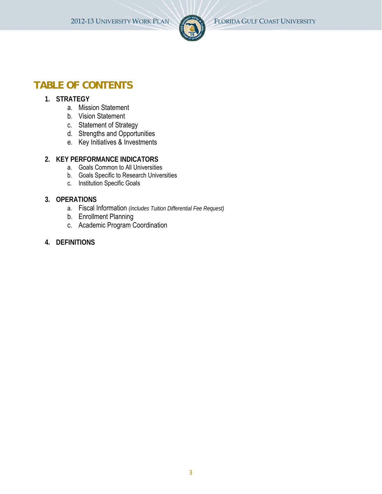

## **TABLE OF CONTENTS**

#### **1. STRATEGY**

- a. Mission Statement
- b. Vision Statement
- c. Statement of Strategy
- d. Strengths and Opportunities
- e. Key Initiatives & Investments

#### **2. KEY PERFORMANCE INDICATORS**

- a. Goals Common to All Universities
- b. Goals Specific to Research Universities
- c. Institution Specific Goals

#### **3. OPERATIONS**

- a. Fiscal Information *(includes Tuition Differential Fee Request)*
- b. Enrollment Planning
- c. Academic Program Coordination
- **4. DEFINITIONS**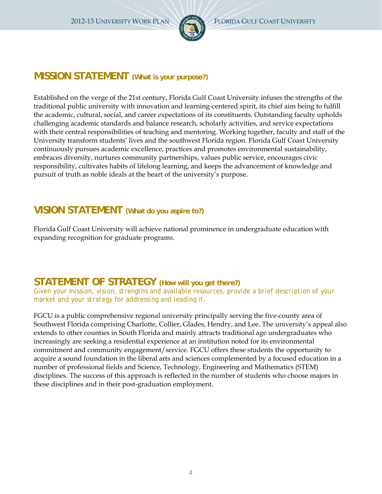

## **MISSION STATEMENT (What is your purpose?)**

Established on the verge of the 21st century, Florida Gulf Coast University infuses the strengths of the traditional public university with innovation and learning-centered spirit, its chief aim being to fulfill the academic, cultural, social, and career expectations of its constituents. Outstanding faculty upholds challenging academic standards and balance research, scholarly activities, and service expectations with their central responsibilities of teaching and mentoring. Working together, faculty and staff of the University transform students' lives and the southwest Florida region. Florida Gulf Coast University continuously pursues academic excellence, practices and promotes environmental sustainability, embraces diversity, nurtures community partnerships, values public service, encourages civic responsibility, cultivates habits of lifelong learning, and keeps the advancement of knowledge and pursuit of truth as noble ideals at the heart of the university's purpose.

## **VISION STATEMENT (What do you aspire to?)**

Florida Gulf Coast University will achieve national prominence in undergraduate education with expanding recognition for graduate programs.

## **STATEMENT OF STRATEGY (How will you get there?)**

*Given your mission, vision, strengths and available resources, provide a brief description of your market and your strategy for addressing and leading it.* 

FGCU is a public comprehensive regional university principally serving the five-county area of Southwest Florida comprising Charlotte, Collier, Glades, Hendry, and Lee. The university's appeal also extends to other counties in South Florida and mainly attracts traditional age undergraduates who increasingly are seeking a residential experience at an institution noted for its environmental commitment and community engagement/service. FGCU offers these students the opportunity to acquire a sound foundation in the liberal arts and sciences complemented by a focused education in a number of professional fields and Science, Technology, Engineering and Mathematics (STEM) disciplines. The success of this approach is reflected in the number of students who choose majors in these disciplines and in their post-graduation employment.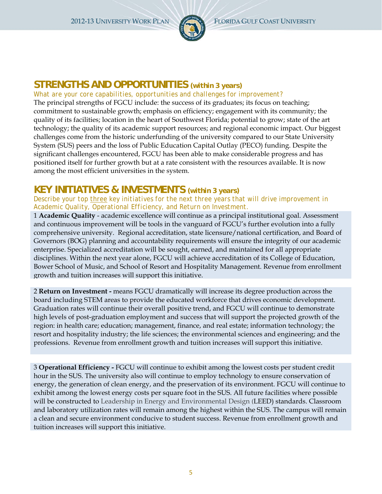

## **STRENGTHS AND OPPORTUNITIES** *(within 3 years)*

#### *What are your core capabilities, opportunities and challenges for improvement?*

The principal strengths of FGCU include: the success of its graduates; its focus on teaching; commitment to sustainable growth; emphasis on efficiency; engagement with its community; the quality of its facilities; location in the heart of Southwest Florida; potential to grow; state of the art technology; the quality of its academic support resources; and regional economic impact. Our biggest challenges come from the historic underfunding of the university compared to our State University System (SUS) peers and the loss of Public Education Capital Outlay (PECO) funding. Despite the significant challenges encountered, FGCU has been able to make considerable progress and has positioned itself for further growth but at a rate consistent with the resources available. It is now among the most efficient universities in the system.

## **KEY INITIATIVES & INVESTMENTS** *(within 3 years)*

#### *Describe your top three key initiatives for the next three years that will drive improvement in Academic Quality, Operational Efficiency, and Return on Investment.*

1 **Academic Quality** - academic excellence will continue as a principal institutional goal. Assessment and continuous improvement will be tools in the vanguard of FGCU's further evolution into a fully comprehensive university. Regional accreditation, state licensure/national certification, and Board of Governors (BOG) planning and accountability requirements will ensure the integrity of our academic enterprise. Specialized accreditation will be sought, earned, and maintained for all appropriate disciplines. Within the next year alone, FGCU will achieve accreditation of its College of Education, Bower School of Music, and School of Resort and Hospitality Management. Revenue from enrollment growth and tuition increases will support this initiative.

2 **Return on Investment -** means FGCU dramatically will increase its degree production across the board including STEM areas to provide the educated workforce that drives economic development. Graduation rates will continue their overall positive trend, and FGCU will continue to demonstrate high levels of post-graduation employment and success that will support the projected growth of the region: in health care; education; management, finance, and real estate; information technology; the resort and hospitality industry; the life sciences; the environmental sciences and engineering; and the professions. Revenue from enrollment growth and tuition increases will support this initiative.

3 **Operational Efficiency -** FGCU will continue to exhibit among the lowest costs per student credit hour in the SUS. The university also will continue to employ technology to ensure conservation of energy, the generation of clean energy, and the preservation of its environment. FGCU will continue to exhibit among the lowest energy costs per square foot in the SUS. All future facilities where possible will be constructed to Leadership in Energy and Environmental Design (LEED) standards. Classroom and laboratory utilization rates will remain among the highest within the SUS. The campus will remain a clean and secure environment conducive to student success. Revenue from enrollment growth and tuition increases will support this initiative.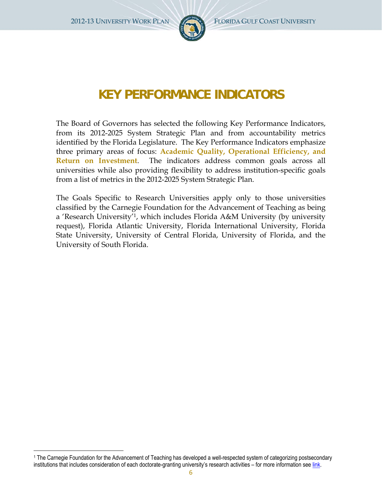

## **KEY PERFORMANCE INDICATORS**

The Board of Governors has selected the following Key Performance Indicators, from its 2012-2025 System Strategic Plan and from accountability metrics identified by the Florida Legislature. The Key Performance Indicators emphasize three primary areas of focus: **Academic Quality, Operational Efficiency, and Return on Investment**. The indicators address common goals across all universities while also providing flexibility to address institution-specific goals from a list of metrics in the 2012-2025 System Strategic Plan.

The Goals Specific to Research Universities apply only to those universities classified by the Carnegie Foundation for the Advancement of Teaching as being a 'Research University'1, which includes Florida A&M University (by university request), Florida Atlantic University, Florida International University, Florida State University, University of Central Florida, University of Florida, and the University of South Florida.

<sup>1</sup> The Carnegie Foundation for the Advancement of Teaching has developed a well-respected system of categorizing postsecondary institutions that includes consideration of each doctorate-granting university's research activities – for more information see link.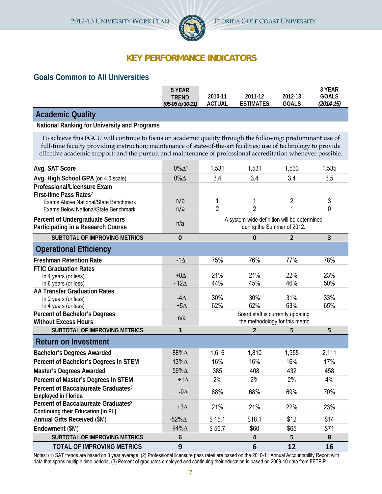

## **KEY PERFORMANCE INDICATORS**

### **Goals Common to All Universities**

|                                                                                                                                                                                                                                                                                                                                                | 5 YEAR<br><b>TREND</b><br>(05-06 to 10-11) | 2010-11<br><b>ACTUAL</b> | 2011-12<br><b>ESTIMATES</b>                                               | 2012-13<br><b>GOALS</b> | 3 YEAR<br><b>GOALS</b><br>$(2014 - 15)$ |
|------------------------------------------------------------------------------------------------------------------------------------------------------------------------------------------------------------------------------------------------------------------------------------------------------------------------------------------------|--------------------------------------------|--------------------------|---------------------------------------------------------------------------|-------------------------|-----------------------------------------|
| <b>Academic Quality</b>                                                                                                                                                                                                                                                                                                                        |                                            |                          |                                                                           |                         |                                         |
| National Ranking for University and Programs                                                                                                                                                                                                                                                                                                   |                                            |                          |                                                                           |                         |                                         |
| To achieve this FGCU will continue to focus on academic quality through the following: predominant use of<br>full-time faculty providing instruction; maintenance of state-of-the-art facilities; use of technology to provide<br>effective academic support; and the pursuit and maintenance of professional accreditation whenever possible. |                                            |                          |                                                                           |                         |                                         |
| Avg. SAT Score                                                                                                                                                                                                                                                                                                                                 | $0\% \Delta$ <sup>1</sup>                  | 1,531                    | 1,531                                                                     | 1,533                   | 1,535                                   |
| Avg. High School GPA (on 4.0 scale)                                                                                                                                                                                                                                                                                                            | $0\%$ $\Delta$                             | 3.4                      | 3.4                                                                       | 3.4                     | 3.5                                     |
| Professional/Licensure Exam<br>First-time Pass Rates <sup>2</sup><br>Exams Above National/State Benchmark<br>Exams Below National/State Benchmark                                                                                                                                                                                              | n/a<br>n/a                                 | 1<br>$\overline{2}$      | 1<br>$\overline{2}$                                                       | 2<br>1                  | 3<br>0                                  |
| <b>Percent of Undergraduate Seniors</b><br>Participating in a Research Course                                                                                                                                                                                                                                                                  | n/a                                        |                          | A system-wide definition will be determined<br>during the Summer of 2012. |                         |                                         |
| <b>SUBTOTAL OF IMPROVING METRICS</b>                                                                                                                                                                                                                                                                                                           | 0                                          |                          | 0                                                                         | $\mathbf{2}$            | $\overline{\mathbf{3}}$                 |
| <b>Operational Efficiency</b>                                                                                                                                                                                                                                                                                                                  |                                            |                          |                                                                           |                         |                                         |
| <b>Freshman Retention Rate</b>                                                                                                                                                                                                                                                                                                                 | $-1\Delta$                                 | 75%                      | 76%                                                                       | 77%                     | 78%                                     |
| <b>FTIC Graduation Rates</b><br>In 4 years (or less)<br>In 6 years (or less)                                                                                                                                                                                                                                                                   | $+8\Delta$<br>$+12\Delta$                  | 21%<br>44%               | 21%<br>45%                                                                | 22%<br>46%              | 23%<br>50%                              |
| <b>AA Transfer Graduation Rates</b><br>In 2 years (or less)<br>In 4 years (or less)                                                                                                                                                                                                                                                            | -4 $\Delta$<br>$+5\Delta$                  | 30%<br>62%               | 30%<br>62%                                                                | 31%<br>63%              | 33%<br>65%                              |
| Percent of Bachelor's Degrees<br><b>Without Excess Hours</b>                                                                                                                                                                                                                                                                                   | n/a                                        |                          | Board staff is currently updating<br>the methodology for this metric      |                         |                                         |
| <b>SUBTOTAL OF IMPROVING METRICS</b>                                                                                                                                                                                                                                                                                                           | 3                                          |                          | $\mathbf{2}$                                                              | 5                       | 5                                       |
| <b>Return on Investment</b>                                                                                                                                                                                                                                                                                                                    |                                            |                          |                                                                           |                         |                                         |
| <b>Bachelor's Degrees Awarded</b>                                                                                                                                                                                                                                                                                                              | 88%A                                       | 1,616                    | 1,810                                                                     | 1,955                   | 2,111                                   |
| Percent of Bachelor's Degrees in STEM                                                                                                                                                                                                                                                                                                          | 13%∆                                       | 16%                      | 16%                                                                       | 16%                     | 17%                                     |
| <b>Master's Degrees Awarded</b>                                                                                                                                                                                                                                                                                                                | 59%∆                                       | 385                      | 408                                                                       | 432                     | 458                                     |
| Percent of Master's Degrees in STEM                                                                                                                                                                                                                                                                                                            | $+1\Delta$                                 | 2%                       | 2%                                                                        | 2%                      | 4%                                      |
| Percent of Baccalaureate Graduates <sup>3</sup><br><b>Employed in Florida</b>                                                                                                                                                                                                                                                                  | -9 $\Delta$                                | 68%                      | 68%                                                                       | 69%                     | 70%                                     |
| Percent of Baccalaureate Graduates <sup>3</sup><br>Continuing their Education (in FL)                                                                                                                                                                                                                                                          | $+3\Delta$                                 | 21%                      | 21%                                                                       | 22%                     | 23%                                     |
| Annual Gifts Received (\$M)                                                                                                                                                                                                                                                                                                                    | -52% $\Delta$                              | \$15.1                   | \$18.1                                                                    | \$12                    | \$14                                    |
| Endowment (\$M)                                                                                                                                                                                                                                                                                                                                | 94%A                                       | \$56.7                   | \$60                                                                      | \$65                    | \$71                                    |
| SUBTOTAL OF IMPROVING METRICS                                                                                                                                                                                                                                                                                                                  | 6                                          |                          | 4                                                                         | 5                       | 8                                       |
| <b>TOTAL OF IMPROVING METRICS</b>                                                                                                                                                                                                                                                                                                              | 9                                          |                          | 6                                                                         | 12                      | 16                                      |

Notes: (1) SAT trends are based on 3 year average, (2) Professional licensure pass rates are based on the 2010-11 Annual Accountability Report with data that spans multiple time periods, (3) Percent of graduates employed and continuing their education is based on 2009-10 data from FETPIP.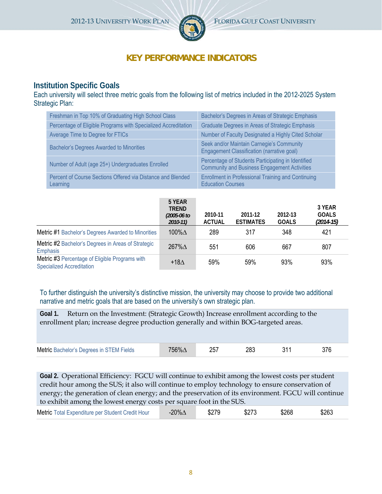

## **KEY PERFORMANCE INDICATORS**

## **Institution Specific Goals**

Each university will select three metric goals from the following list of metrics included in the 2012-2025 System Strategic Plan:

| Freshman in Top 10% of Graduating High School Class                     | Bachelor's Degrees in Areas of Strategic Emphasis                                                         |
|-------------------------------------------------------------------------|-----------------------------------------------------------------------------------------------------------|
| Percentage of Eligible Programs with Specialized Accreditation          | Graduate Degrees in Areas of Strategic Emphasis                                                           |
| Average Time to Degree for FTICs                                        | Number of Faculty Designated a Highly Cited Scholar                                                       |
| <b>Bachelor's Degrees Awarded to Minorities</b>                         | Seek and/or Maintain Carnegie's Community<br>Engagement Classification (narrative goal)                   |
| Number of Adult (age 25+) Undergraduates Enrolled                       | Percentage of Students Participating in Identified<br><b>Community and Business Engagement Activities</b> |
| Percent of Course Sections Offered via Distance and Blended<br>Learning | <b>Enrollment in Professional Training and Continuing</b><br><b>Education Courses</b>                     |

|                                                                                    | 5 YEAR<br><b>TREND</b><br>$(2005 - 06)$ to<br>$2010 - 11$ | 2010-11<br><b>ACTUAL</b> | 2011-12<br><b>ESTIMATES</b> | 2012-13<br><b>GOALS</b> | 3 YEAR<br><b>GOALS</b><br>$(2014-15)$ |
|------------------------------------------------------------------------------------|-----------------------------------------------------------|--------------------------|-----------------------------|-------------------------|---------------------------------------|
| <b>Metric #1 Bachelor's Degrees Awarded to Minorities</b>                          | 100% $\Delta$                                             | 289                      | 317                         | 348                     | 421                                   |
| Metric #2 Bachelor's Degrees in Areas of Strategic<br>Emphasis                     | $267\%$ $\triangle$                                       | 551                      | 606                         | 667                     | 807                                   |
| Metric #3 Percentage of Eligible Programs with<br><b>Specialized Accreditation</b> | +18 $\Delta$                                              | 59%                      | 59%                         | 93%                     | 93%                                   |

To further distinguish the university's distinctive mission, the university may choose to provide two additional narrative and metric goals that are based on the university's own strategic plan.

**Goal 1.** Return on the Investment: (Strategic Growth) Increase enrollment according to the enrollment plan; increase degree production generally and within BOG-targeted areas.

| Metric Bachelor's Degrees in STEM Fields | د 10 | つに | 28: |  |  |  |
|------------------------------------------|------|----|-----|--|--|--|
|------------------------------------------|------|----|-----|--|--|--|

**Goal 2.** Operational Efficiency: FGCU will continue to exhibit among the lowest costs per student credit hour among the SUS; it also will continue to employ technology to ensure conservation of energy; the generation of clean energy; and the preservation of its environment. FGCU will continue to exhibit among the lowest energy costs per square foot in the SUS.

| Metric Total Expenditure per Student Credit Hour | -20% $\Delta$ | \$279 | \$273 | \$268 | \$263 |  |
|--------------------------------------------------|---------------|-------|-------|-------|-------|--|
|--------------------------------------------------|---------------|-------|-------|-------|-------|--|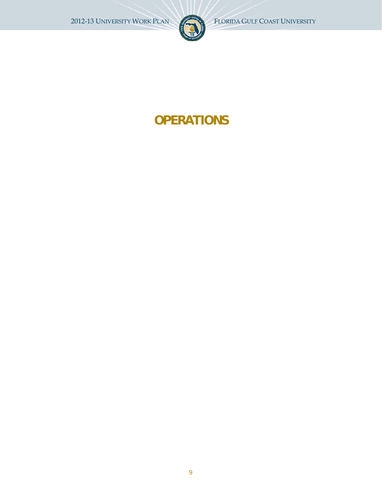

# **OPERATIONS**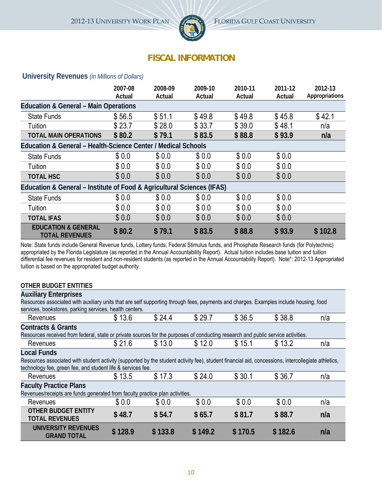

## **FISCAL INFORMATION**

#### **University Revenues** *(in Millions of Dollars)*

|                                                                        | 2007-08<br>Actual | 2008-09<br>Actual | 2009-10<br>Actual | 2010-11<br>Actual | 2011-12<br>Actual | 2012-13<br>Appropriations |
|------------------------------------------------------------------------|-------------------|-------------------|-------------------|-------------------|-------------------|---------------------------|
| <b>Education &amp; General - Main Operations</b>                       |                   |                   |                   |                   |                   |                           |
| <b>State Funds</b>                                                     | \$56.5            | \$51.1            | \$49.8            | \$49.8            | \$45.8            | \$42.1                    |
| Tuition                                                                | \$23.7            | \$28.0            | \$33.7            | \$39.0            | \$48.1            | n/a                       |
| <b>TOTAL MAIN OPERATIONS</b>                                           | \$80.2            | \$79.1            | \$83.5            | \$88.8            | \$93.9            | n/a                       |
| Education & General – Health-Science Center / Medical Schools          |                   |                   |                   |                   |                   |                           |
| <b>State Funds</b>                                                     | \$0.0             | \$0.0             | \$0.0             | \$0.0             | \$0.0             |                           |
| Tuition                                                                | \$0.0             | \$0.0             | \$0.0             | \$0.0             | \$0.0             |                           |
| <b>TOTAL HSC</b>                                                       | \$0.0             | \$0.0             | \$0.0             | \$0.0             | \$0.0             |                           |
| Education & General – Institute of Food & Agricultural Sciences (IFAS) |                   |                   |                   |                   |                   |                           |
| <b>State Funds</b>                                                     | \$0.0             | \$0.0             | \$0.0             | \$0.0             | \$0.0             |                           |
| Tuition                                                                | \$0.0             | \$0.0             | \$0.0             | \$0.0             | \$0.0             |                           |
| <b>TOTAL IFAS</b>                                                      | \$0.0             | \$0.0             | \$0.0             | \$0.0             | \$0.0             |                           |
| <b>EDUCATION &amp; GENERAL</b><br><b>TOTAL REVENUES</b>                | \$80.2            | \$79.1            | \$83.5            | \$88.8            | \$93.9            | \$102.8                   |

Note: State funds include General Revenue funds, Lottery funds, Federal Stimulus funds, and Phosphate Research funds (for Polytechnic) appropriated by the Florida Legislature (as reported in the Annual Accountability Report). Actual tuition includes base tuition and tuition differential fee revenues for resident and non-resident students (as reported in the Annual Accountability Report). Note\*: 2012-13 Appropriated tuition is based on the appropriated budget authority.

#### **OTHER BUDGET ENTITIES**

| <b>Auxiliary Enterprises</b>                                                                                                                       |         |         |         |         |         |     |  |
|----------------------------------------------------------------------------------------------------------------------------------------------------|---------|---------|---------|---------|---------|-----|--|
| Resources associated with auxiliary units that are self supporting through fees, payments and charges. Examples include housing, food              |         |         |         |         |         |     |  |
| services, bookstores, parking services, health centers.                                                                                            |         |         |         |         |         |     |  |
| Revenues                                                                                                                                           | \$13.6  | \$24.4  | \$29.7  | \$36.5  | \$38.8  | n/a |  |
| <b>Contracts &amp; Grants</b>                                                                                                                      |         |         |         |         |         |     |  |
| Resources received from federal, state or private sources for the purposes of conducting research and public service activities.                   |         |         |         |         |         |     |  |
| Revenues                                                                                                                                           | \$21.6  | \$13.0  | \$12.0  | \$15.1  | \$13.2  | n/a |  |
| <b>Local Funds</b>                                                                                                                                 |         |         |         |         |         |     |  |
| Resources associated with student activity (supported by the student activity fee), student financial aid, concessions, intercollegiate athletics, |         |         |         |         |         |     |  |
| technology fee, green fee, and student life & services fee.                                                                                        |         |         |         |         |         |     |  |
| Revenues                                                                                                                                           | \$13.5  | \$17.3  | \$24.0  | \$30.1  | \$36.7  | n/a |  |
| <b>Faculty Practice Plans</b>                                                                                                                      |         |         |         |         |         |     |  |
| Revenues/receipts are funds generated from faculty practice plan activities.                                                                       |         |         |         |         |         |     |  |
| Revenues                                                                                                                                           | \$0.0   | \$0.0   | \$0.0   | \$0.0   | \$0.0   | n/a |  |
| <b>OTHER BUDGET ENTITY</b><br><b>TOTAL REVENUES</b>                                                                                                | \$48.7  | \$54.7  | \$65.7  | \$81.7  | \$88.7  | n/a |  |
| UNIVERSITY REVENUES<br><b>GRAND TOTAL</b>                                                                                                          | \$128.9 | \$133.8 | \$149.2 | \$170.5 | \$182.6 | n/a |  |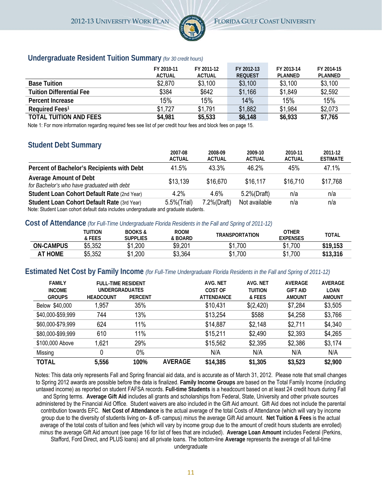

#### **Undergraduate Resident Tuition Summary** *(for 30 credit hours)*

|                                 | FY 2010-11<br><b>ACTUAL</b> | FY 2011-12<br><b>ACTUAL</b> | FY 2012-13<br><b>REQUEST</b> | FY 2013-14<br>PLANNED | FY 2014-15<br>PLANNED |
|---------------------------------|-----------------------------|-----------------------------|------------------------------|-----------------------|-----------------------|
| <b>Base Tuition</b>             | \$2,870                     | \$3,100                     | \$3,100                      | \$3,100               | \$3,100               |
| <b>Tuition Differential Fee</b> | \$384                       | \$642                       | \$1,166                      | \$1,849               | \$2,592               |
| Percent Increase                | 15%                         | 15%                         | 14%                          | 15%                   | 15%                   |
| Required Fees <sup>1</sup>      | \$1.727                     | \$1.791                     | \$1,882                      | \$1,984               | \$2,073               |
| <b>TOTAL TUITION AND FEES</b>   | \$4,981                     | \$5,533                     | \$6,148                      | \$6,933               | \$7,765               |

Note 1: For more information regarding required fees see list of per credit hour fees and block fees on page 15.

#### **Student Debt Summary**

|                                                                                                                                    | 2007-08<br><b>ACTUAL</b> | 2008-09<br><b>ACTUAL</b> | 2009-10<br><b>ACTUAL</b> | 2010-11<br><b>ACTUAL</b> | 2011-12<br><b>ESTIMATE</b> |
|------------------------------------------------------------------------------------------------------------------------------------|--------------------------|--------------------------|--------------------------|--------------------------|----------------------------|
| Percent of Bachelor's Recipients with Debt                                                                                         | 41.5%                    | 43.3%                    | 46.2%                    | 45%                      | 47.1%                      |
| <b>Average Amount of Debt</b><br>for Bachelor's who have graduated with debt                                                       | \$13.139                 | \$16,670                 | \$16,117                 | \$16,710                 | \$17,768                   |
| Student Loan Cohort Default Rate (2nd Year)                                                                                        | $4.2\%$                  | 4.6%                     | 5.2%(Draft)              | n/a                      | n/a                        |
| Student Loan Cohort Default Rate (3rd Year)<br>and uter the properties that the shude includes undergraduate and graduate students | 5.5%(Trial)              | 7.2%(Draft)              | Not available            | n/a                      | n/a                        |

 $\,\mathrm{det}$ : Student Loan cohort default data includes undergraduate and graduate students.

#### **Cost of Attendance** *(for Full-Time Undergraduate Florida Residents in the Fall and Spring of 2011-12)*

|                  | TUITION<br>& FEES | <b>BOOKS&amp;</b><br>Supplies | <b>ROOM</b><br>& BOARD | <b>TRANSPORTATION</b> | OTHER<br>EXPENSES | <b>TOTAL</b> |
|------------------|-------------------|-------------------------------|------------------------|-----------------------|-------------------|--------------|
| <b>ON-CAMPUS</b> | \$5,352           | .200.                         | \$9,201                | .700،<br>J.           | \$1,700           | \$19,153     |
| <b>AT HOME</b>   | \$5,352           | .200،                         | \$3,364                | 1,700<br>D            | \$1,700           | \$13,316     |

#### **Estimated Net Cost by Family Income** *(for Full-Time Undergraduate Florida Residents in the Fall and Spring of 2011-12)*

| <b>FAMILY</b><br><b>INCOME</b> | FULL TIME RESIDENT<br><b>UNDERGRADUATES</b> |                |                | AVG. NET<br>COST OF | AVG. NET<br><b>TUITION</b> | AVERAGE<br><b>GIFT AID</b> | <b>AVERAGE</b><br>LOAN |
|--------------------------------|---------------------------------------------|----------------|----------------|---------------------|----------------------------|----------------------------|------------------------|
| <b>GROUPS</b>                  | <b>HEADCOUNT</b>                            | <b>PERCENT</b> |                | <b>ATTENDANCE</b>   | & FEES                     | <b>AMOUNT</b>              | <b>AMOUNT</b>          |
| Below \$40,000                 | 1.957                                       | 35%            |                | \$10,431            | \$(2,420)                  | \$7,284                    | \$3,505                |
| \$40,000-\$59,999              | 744                                         | 13%            |                | \$13,254            | \$588                      | \$4,258                    | \$3,766                |
| \$60,000-\$79,999              | 624                                         | 11%            |                | \$14,887            | \$2,148                    | \$2,711                    | \$4,340                |
| \$80,000-\$99,999              | 610                                         | 11%            |                | \$15,211            | \$2,490                    | \$2,393                    | \$4,265                |
| \$100,000 Above                | 1,621                                       | 29%            |                | \$15,562            | \$2,395                    | \$2,386                    | \$3,174                |
| Missing                        | 0                                           | $0\%$          |                | N/A                 | N/A                        | N/A                        | N/A                    |
| <b>TOTAL</b>                   | 5,556                                       | 100%           | <b>AVERAGE</b> | \$14,385            | \$1,305                    | \$3,523                    | \$2,900                |

Notes: This data only represents Fall and Spring financial aid data, and is accurate as of March 31, 2012. Please note that small changes to Spring 2012 awards are possible before the data is finalized. **Family Income Groups** are based on the Total Family Income (including untaxed income) as reported on student FAFSA records. **Full-time Students** is a headcount based on at least 24 credit hours during Fall and Spring terms. **Average Gift Aid** includes all grants and scholarships from Federal, State, University and other private sources administered by the Financial Aid Office. Student waivers are also included in the Gift Aid amount. Gift Aid does not include the parental contribution towards EFC. **Net Cost of Attendance** is the actual average of the total Costs of Attendance (which will vary by income group due to the diversity of students living on- & off- campus) *minus* the average Gift Aid amount. **Net Tuition & Fees** is the actual average of the total costs of tuition and fees (which will vary by income group due to the amount of credit hours students are enrolled) *minus* the average Gift Aid amount (see page 16 for list of fees that are included). **Average Loan Amount** includes Federal (Perkins, Stafford, Ford Direct, and PLUS loans) and all private loans. The bottom-line **Average** represents the average of all full-time undergraduate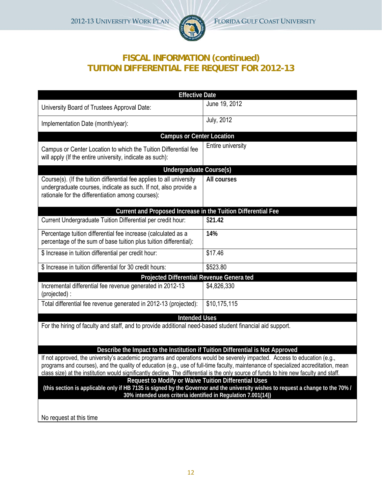

## **FISCAL INFORMATION (continued) TUITION DIFFERENTIAL FEE REQUEST FOR 2012-13**

| <b>Effective Date</b>                                                                                                                                                                                                                                                                                                                                                                                       |                   |
|-------------------------------------------------------------------------------------------------------------------------------------------------------------------------------------------------------------------------------------------------------------------------------------------------------------------------------------------------------------------------------------------------------------|-------------------|
| University Board of Trustees Approval Date:                                                                                                                                                                                                                                                                                                                                                                 | June 19, 2012     |
| Implementation Date (month/year):                                                                                                                                                                                                                                                                                                                                                                           | <b>July, 2012</b> |
| <b>Campus or Center Location</b>                                                                                                                                                                                                                                                                                                                                                                            |                   |
| Campus or Center Location to which the Tuition Differential fee<br>will apply (If the entire university, indicate as such):                                                                                                                                                                                                                                                                                 | Entire university |
| <b>Undergraduate Course(s)</b>                                                                                                                                                                                                                                                                                                                                                                              |                   |
| Course(s). (If the tuition differential fee applies to all university<br>undergraduate courses, indicate as such. If not, also provide a<br>rationale for the differentiation among courses):                                                                                                                                                                                                               | All courses       |
| Current and Proposed Increase in the Tuition Differential Fee                                                                                                                                                                                                                                                                                                                                               |                   |
| Current Undergraduate Tuition Differential per credit hour:                                                                                                                                                                                                                                                                                                                                                 | \$21.42           |
| Percentage tuition differential fee increase (calculated as a<br>percentage of the sum of base tuition plus tuition differential):                                                                                                                                                                                                                                                                          | 14%               |
| \$ Increase in tuition differential per credit hour:                                                                                                                                                                                                                                                                                                                                                        | \$17.46           |
| \$ Increase in tuition differential for 30 credit hours:                                                                                                                                                                                                                                                                                                                                                    | \$523.80          |
| Projected Differential Revenue Genera ted                                                                                                                                                                                                                                                                                                                                                                   |                   |
| Incremental differential fee revenue generated in 2012-13<br>(projected):                                                                                                                                                                                                                                                                                                                                   | \$4,826,330       |
| Total differential fee revenue generated in 2012-13 (projected):                                                                                                                                                                                                                                                                                                                                            | \$10,175,115      |
| <b>Intended Uses</b>                                                                                                                                                                                                                                                                                                                                                                                        |                   |
| For the hiring of faculty and staff, and to provide additional need-based student financial aid support.                                                                                                                                                                                                                                                                                                    |                   |
| Describe the Impact to the Institution if Tuition Differential is Not Approved                                                                                                                                                                                                                                                                                                                              |                   |
| If not approved, the university's academic programs and operations would be severely impacted. Access to education (e.g.,<br>programs and courses), and the quality of education (e.g., use of full-time faculty, maintenance of specialized accreditation, mean<br>class size) at the institution would significantly decline. The differential is the only source of funds to hire new faculty and staff. |                   |
| Request to Modify or Waive Tuition Differential Uses<br>(this section is applicable only if HB 7135 is signed by the Governor and the university wishes to request a change to the 70% /<br>30% intended uses criteria identified in Regulation 7.001(14))                                                                                                                                                  |                   |
|                                                                                                                                                                                                                                                                                                                                                                                                             |                   |

No request at this time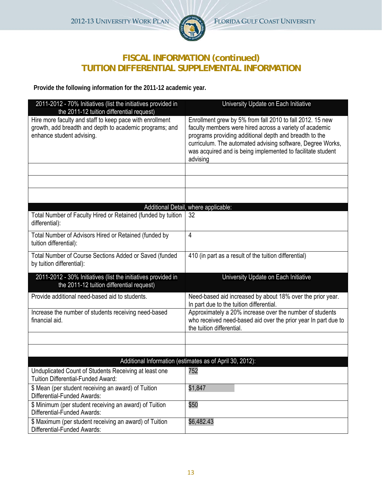

## **FISCAL INFORMATION (continued) TUITION DIFFERENTIAL SUPPLEMENTAL INFORMATION**

**Provide the following information for the 2011-12 academic year.** 

| 2011-2012 - 70% Initiatives (list the initiatives provided in<br>the 2011-12 tuition differential request)                                       | University Update on Each Initiative                                                                                                                                                                                                                                                                                    |
|--------------------------------------------------------------------------------------------------------------------------------------------------|-------------------------------------------------------------------------------------------------------------------------------------------------------------------------------------------------------------------------------------------------------------------------------------------------------------------------|
| Hire more faculty and staff to keep pace with enrollment<br>growth, add breadth and depth to academic programs; and<br>enhance student advising. | Enrollment grew by 5% from fall 2010 to fall 2012. 15 new<br>faculty members were hired across a variety of academic<br>programs providing additional depth and breadth to the<br>curriculum. The automated advising software, Degree Works,<br>was acquired and is being implemented to facilitate student<br>advising |
|                                                                                                                                                  |                                                                                                                                                                                                                                                                                                                         |
|                                                                                                                                                  |                                                                                                                                                                                                                                                                                                                         |
|                                                                                                                                                  |                                                                                                                                                                                                                                                                                                                         |
|                                                                                                                                                  | Additional Detail, where applicable:                                                                                                                                                                                                                                                                                    |
| Total Number of Faculty Hired or Retained (funded by tuition<br>differential):                                                                   | 32                                                                                                                                                                                                                                                                                                                      |
| Total Number of Advisors Hired or Retained (funded by<br>tuition differential):                                                                  | 4                                                                                                                                                                                                                                                                                                                       |
| Total Number of Course Sections Added or Saved (funded<br>by tuition differential):                                                              | 410 (in part as a result of the tuition differential)                                                                                                                                                                                                                                                                   |
| 2011-2012 - 30% Initiatives (list the initiatives provided in<br>the 2011-12 tuition differential request)                                       | University Update on Each Initiative                                                                                                                                                                                                                                                                                    |
| Provide additional need-based aid to students.                                                                                                   | Need-based aid increased by about 18% over the prior year.<br>In part due to the tuition differential.                                                                                                                                                                                                                  |
| Increase the number of students receiving need-based<br>financial aid.                                                                           | Approximately a 20% increase over the number of students<br>who received need-based aid over the prior year In part due to<br>the tuition differential.                                                                                                                                                                 |
|                                                                                                                                                  |                                                                                                                                                                                                                                                                                                                         |
|                                                                                                                                                  |                                                                                                                                                                                                                                                                                                                         |
|                                                                                                                                                  | Additional Information (estimates as of April 30, 2012):                                                                                                                                                                                                                                                                |
| Unduplicated Count of Students Receiving at least one<br>Tuition Differential-Funded Award:                                                      | 752                                                                                                                                                                                                                                                                                                                     |
| \$ Mean (per student receiving an award) of Tuition<br>Differential-Funded Awards:                                                               | \$1,847                                                                                                                                                                                                                                                                                                                 |
| \$ Minimum (per student receiving an award) of Tuition<br>Differential-Funded Awards:                                                            | \$50                                                                                                                                                                                                                                                                                                                    |
| \$ Maximum (per student receiving an award) of Tuition<br>Differential-Funded Awards:                                                            | \$6,482.43                                                                                                                                                                                                                                                                                                              |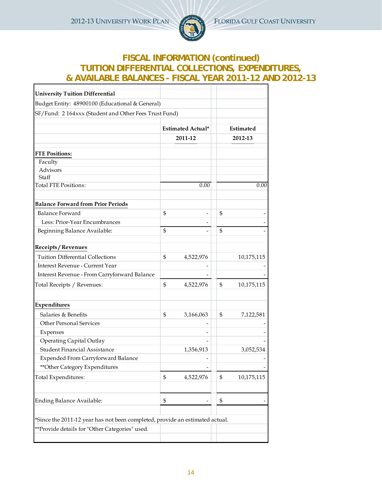2012-13 UNIVERSITY WORK PLAN FLORIDA GULF COAST UNIVERSITY



## **FISCAL INFORMATION (continued) TUITION DIFFERENTIAL COLLECTIONS, EXPENDITURES, & AVAILABLE BALANCES - FISCAL YEAR 2011-12 AND 2012-13**

| <b>University Tuition Differential</b>                                       |                |                          |                  |
|------------------------------------------------------------------------------|----------------|--------------------------|------------------|
| Budget Entity: 48900100 (Educational & General)                              |                |                          |                  |
| SF/Fund: 2164xxx (Student and Other Fees Trust Fund)                         |                |                          |                  |
|                                                                              |                | <b>Estimated Actual*</b> | Estimated        |
|                                                                              |                | 2011-12                  | 2012-13          |
|                                                                              |                |                          |                  |
| <b>FTE Positions:</b>                                                        |                |                          |                  |
| Faculty                                                                      |                |                          |                  |
| Advisors<br>Staff                                                            |                |                          |                  |
| <b>Total FTE Positions:</b>                                                  |                | 0.00                     | 0.00             |
| <b>Balance Forward from Prior Periods</b>                                    |                |                          |                  |
| Balance Forward                                                              | \$             |                          | \$               |
| Less: Prior-Year Encumbrances                                                |                | $\overline{a}$           |                  |
|                                                                              | $\mathfrak{S}$ |                          | \$               |
| Beginning Balance Available:                                                 |                |                          |                  |
| <b>Receipts / Revenues</b>                                                   |                |                          |                  |
| <b>Tuition Differential Collections</b>                                      | \$             | 4,522,976                | 10,175,115       |
| Interest Revenue - Current Year                                              |                |                          |                  |
| Interest Revenue - From Carryforward Balance                                 |                |                          |                  |
| Total Receipts / Revenues:                                                   | \$             | 4,522,976                | \$<br>10,175,115 |
| Expenditures                                                                 |                |                          |                  |
| Salaries & Benefits                                                          | \$             | 3,166,063                | \$<br>7,122,581  |
| <b>Other Personal Services</b>                                               |                |                          |                  |
| Expenses                                                                     |                |                          |                  |
| Operating Capital Outlay                                                     |                |                          |                  |
| <b>Student Financial Assistance</b>                                          |                | 1,356,913                | 3,052,534        |
| <b>Expended From Carryforward Balance</b>                                    |                |                          |                  |
| ** Other Category Expenditures                                               |                |                          |                  |
| Total Expenditures:                                                          | \$             | 4,522,976                | \$<br>10,175,115 |
|                                                                              |                |                          |                  |
| Ending Balance Available:                                                    | \$             |                          | \$               |
| *Since the 2011-12 year has not been completed, provide an estimated actual. |                |                          |                  |
| **Provide details for "Other Categories" used.                               |                |                          |                  |
|                                                                              |                |                          |                  |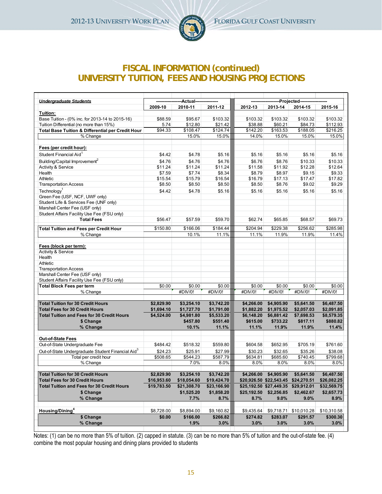

## **FISCAL INFORMATION (continued) UNIVERSITY TUITION, FEES AND HOUSING PROJECTIONS**

| <b>Undergraduate Students</b>                                 |                     | --Actual----------------- |                     |                     |                         | -Projected-------------- |                     |  |
|---------------------------------------------------------------|---------------------|---------------------------|---------------------|---------------------|-------------------------|--------------------------|---------------------|--|
|                                                               | 2009-10             | 2010-11                   | 2011-12             | 2012-13             | 2013-14                 | 2014-15                  | 2015-16             |  |
| Tuition:                                                      |                     |                           |                     |                     |                         |                          |                     |  |
| Base Tuition - (0% inc. for 2013-14 to 2015-16)               | \$88.59             | \$95.67                   | \$103.32            | \$103.32            | \$103.32                | \$103.32                 | \$103.32            |  |
| Tuition Differential (no more than 15%)                       | 5.74                | \$12.80                   | \$21.42             | \$38.88             | \$60.21                 | \$84.73                  | \$112.93            |  |
| Total Base Tuition & Differential per Credit Hour             | \$94.33             | \$108.47                  | \$124.74            | \$142.20            | \$163.53                | \$188.05                 | \$216.25            |  |
| % Change                                                      |                     | 15.0%                     | 15.0%               | 14.0%               | 15.0%                   | 15.0%                    | 15.0%               |  |
|                                                               |                     |                           |                     |                     |                         |                          |                     |  |
| Fees (per credit hour):                                       |                     |                           |                     |                     |                         |                          |                     |  |
| Student Financial Aid <sup>1</sup>                            | \$4.42              | \$4.78                    | \$5.16              | \$5.16              | \$5.16                  | \$5.16                   | \$5.16              |  |
| Building/Capital Improvement <sup>2</sup>                     | \$4.76              | \$4.76                    | \$4.76              | \$6.76              | \$8.76                  | \$10.33                  | \$10.33             |  |
| Activity & Service                                            | \$11.24             | \$11.24                   | \$11.24             | \$11.58             | \$11.92                 | \$12.28                  | \$12.64             |  |
| Health                                                        | \$7.59              | \$7.74                    | \$8.34              | \$8.79              | \$8.97                  | \$9.15                   | \$9.33              |  |
| Athletic                                                      | \$15.54             | \$15.79                   | \$16.54             | \$16.79             | \$17.13                 | \$17.47                  | \$17.82             |  |
| <b>Transportation Access</b>                                  | \$8.50              | \$8.50                    | \$8.50              | \$8.50              | \$8.76                  | \$9.02                   | \$9.29              |  |
| Technology <sup>1</sup>                                       | \$4.42              | \$4.78                    | \$5.16              | \$5.16              | \$5.16                  | \$5.16                   | \$5.16              |  |
| Green Fee (USF, NCF, UWF only)                                |                     |                           |                     |                     |                         |                          |                     |  |
| Student Life & Services Fee (UNF only)                        |                     |                           |                     |                     |                         |                          |                     |  |
| Marshall Center Fee (USF only)                                |                     |                           |                     |                     |                         |                          |                     |  |
| Student Affairs Facility Use Fee (FSU only)                   |                     |                           |                     |                     |                         |                          |                     |  |
| <b>Total Fees</b>                                             | \$56.47             | \$57.59                   | \$59.70             | \$62.74             | \$65.85                 | \$68.57                  | \$69.73             |  |
| <b>Total Tuition and Fees per Credit Hour</b>                 | \$150.80            | \$166.06                  | \$184.44            | \$204.94            | \$229.38                | \$256.62                 | \$285.98            |  |
| % Change                                                      |                     | 10.1%                     | 11.1%               | 11.1%               | 11.9%                   | 11.9%                    | 11.4%               |  |
|                                                               |                     |                           |                     |                     |                         |                          |                     |  |
| Fees (block per term):                                        |                     |                           |                     |                     |                         |                          |                     |  |
| Activity & Service                                            |                     |                           |                     |                     |                         |                          |                     |  |
| Health                                                        |                     |                           |                     |                     |                         |                          |                     |  |
| Athletic                                                      |                     |                           |                     |                     |                         |                          |                     |  |
| <b>Transportation Access</b>                                  |                     |                           |                     |                     |                         |                          |                     |  |
| Marshall Center Fee (USF only)                                |                     |                           |                     |                     |                         |                          |                     |  |
| Student Affairs Facility Use Fee (FSU only)                   |                     |                           |                     |                     |                         |                          |                     |  |
| <b>Total Block Fees per term</b>                              | \$0.00              | \$0.00                    | \$0.00              | \$0.00              | \$0.00                  | \$0.00                   | \$0.00              |  |
| % Change                                                      |                     | #DIV/0!                   | #DIV/0!             | #DN/0!              | #D <sub>N/0!</sub>      | #DN/0!                   | #DIV/0!             |  |
|                                                               |                     |                           |                     |                     |                         |                          |                     |  |
| <b>Total Tuition for 30 Credit Hours</b>                      | \$2,829.90          | \$3,254.10                | \$3,742.20          | \$4,266.00          | \$4,905.90              | \$5,641.50               | \$6,487.50          |  |
| <b>Total Fees for 30 Credit Hours</b>                         | \$1,694.10          | \$1,727.70                | \$1,791.00          | \$1,882.20          | \$1,975.52              | \$2,057.03               | \$2,091.85          |  |
| <b>Total Tuition and Fees for 30 Credit Hours</b>             | \$4,524.00          | \$4,981.80                | \$5,533.20          | \$6,148.20          | \$6,881.42              | \$7,698.53               | \$8,579.35          |  |
| \$ Change                                                     |                     | \$457.80                  | \$551.40            | \$615.00            | \$733.22                | \$817.11                 | \$880.82            |  |
| % Change                                                      |                     | 10.1%                     | 11.1%               | 11.1%               | 11.9%                   | 11.9%                    | 11.4%               |  |
| <b>Out-of-State Fees</b>                                      |                     |                           |                     |                     |                         |                          |                     |  |
| Out-of-State Undergraduate Fee                                | \$484.42            | \$518.32                  | \$559.80            | \$604.58            | \$652.95                | \$705.19                 | \$761.60            |  |
| Out-of-State Undergraduate Student Financial Aid <sup>3</sup> |                     |                           |                     |                     |                         |                          |                     |  |
| Total per credit hour                                         | \$24.23<br>\$508.65 | \$25.91<br>\$544.23       | \$27.99<br>\$587.79 | \$30.23<br>\$634.81 | \$32.65<br>\$685.60     | \$35.26<br>\$740.45      | \$38.08<br>\$799.68 |  |
| % Change                                                      |                     | 7.0%                      | 8.0%                | $8.0\%$             | 8.0%                    | 8.0%                     | 8.0%                |  |
|                                                               |                     |                           |                     |                     |                         |                          |                     |  |
| <b>Total Tuition for 30 Credit Hours</b>                      | \$2,829.90          | \$3,254.10                | \$3,742.20          |                     | \$4,266.00 \$4,905.90   | \$5,641.50               | \$6,487.50          |  |
| <b>Total Fees for 30 Credit Hours</b>                         | \$16,953.60         | \$18,054.60               | \$19,424.70         |                     | \$20,926.50 \$22,543.45 | \$24,270.51              | \$26,082.25         |  |
| <b>Total Tuition and Fees for 30 Credit Hours</b>             | \$19,783.50         | \$21,308.70               | \$23,166.90         |                     | \$25,192.50 \$27,449.35 | \$29,912.01              | \$32,569.75         |  |
| \$ Change                                                     |                     | \$1,525.20                | \$1,858.20          |                     | \$25,192.50 \$2,256.85  | \$2,462.67               | \$2,657.73          |  |
| % Change                                                      |                     | 7.7%                      | 8.7%                | 8.7%                | $9.0\%$                 | 9.0%                     | 8.9%                |  |
|                                                               |                     |                           |                     |                     |                         |                          |                     |  |
| Housing/Dining <sup>4</sup>                                   | \$8,728.00          | \$8,894.00                | \$9,160.82          | \$9,435.64          |                         | \$9,718.71 \$10,010.28   | \$10,310.58         |  |
| \$ Change                                                     | \$0.00              | \$166.00                  | \$266.82            | \$274.82            | \$283.07                | \$291.57                 | \$300.30            |  |
| % Change                                                      |                     | 1.9%                      | 3.0%                | 3.0%                | $3.0\%$                 | 3.0%                     | 3.0%                |  |
|                                                               |                     |                           |                     |                     |                         |                          |                     |  |

Notes: (1) can be no more than 5% of tuition. (2) capped in statute. (3) can be no more than 5% of tuition and the out-of-state fee. (4) combine the most popular housing and dining plans provided to students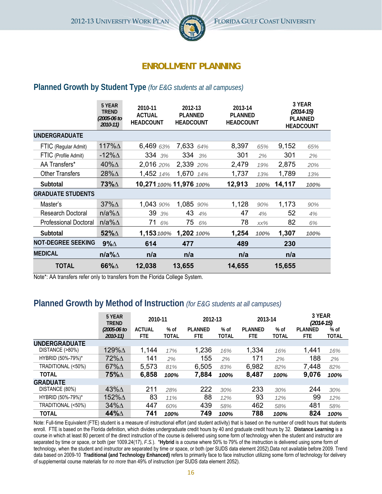

## **ENROLLMENT PLANNING**

## **Planned Growth by Student Type** *(for E&G students at all campuses)*

|                              | 5 YEAR<br><b>TREND</b><br>(2005-06 to<br>$2010 - 11$ | 2010-11<br><b>ACTUAL</b><br><b>HEADCOUNT</b> | 2012-13<br><b>PLANNED</b><br><b>HEADCOUNT</b> | 2013-14<br><b>PLANNED</b><br><b>HEADCOUNT</b> |      |        | 3 YEAR<br>$(2014-15)$<br><b>PLANNED</b><br><b>HEADCOUNT</b> |
|------------------------------|------------------------------------------------------|----------------------------------------------|-----------------------------------------------|-----------------------------------------------|------|--------|-------------------------------------------------------------|
| <b>UNDERGRADUATE</b>         |                                                      |                                              |                                               |                                               |      |        |                                                             |
| FTIC (Regular Admit)         | 117% $\Delta$                                        | 6,469 63%                                    | 7,633 64%                                     | 8,397                                         | 65%  | 9,152  | 65%                                                         |
| FTIC (Profile Admit)         | -12% $\Delta$                                        | 334 3%                                       | 334<br>3%                                     | 301                                           | 2%   | 301    | 2%                                                          |
| AA Transfers*                | 40% $\Delta$                                         | 2,016 20%                                    | 2,339<br>20%                                  | 2,479                                         | 19%  | 2,875  | 20%                                                         |
| <b>Other Transfers</b>       | 28% <sup><math>\Delta</math></sup>                   | 1,452 14%                                    | 1,670<br>14%                                  | 1,737                                         | 13%  | 1,789  | 13%                                                         |
| Subtotal                     | <b>73%</b>                                           |                                              | 10,271 100% 11,976 100%                       | 12,913                                        | 100% | 14,117 | 100%                                                        |
| <b>GRADUATE STUDENTS</b>     |                                                      |                                              |                                               |                                               |      |        |                                                             |
| Master's                     | $37\%$ $\triangle$                                   | 1,043 90%                                    | 1,085 90%                                     | 1,128                                         | 90%  | 1,173  | 90%                                                         |
| Research Doctoral            | n/a% $\Delta$                                        | 39<br>3%                                     | 43<br>4%                                      | 47                                            | 4%   | 52     | 4%                                                          |
| <b>Professional Doctoral</b> | $n/a\%$ $\Delta$                                     | 71<br>6%                                     | 75<br>6%                                      | 78                                            | XX%  | 82     | 6%                                                          |
| Subtotal                     | 52% $\Delta$                                         | 1,153 100%                                   | 1,202 100%                                    | 1,254                                         | 100% | 1,307  | 100%                                                        |
| <b>NOT-DEGREE SEEKING</b>    | $9\%$ $\triangle$                                    | 614                                          | 477                                           | 489                                           |      | 230    |                                                             |
| <b>MEDICAL</b>               | n/a% $\Delta$                                        | n/a                                          | n/a                                           | n/a                                           |      | n/a    |                                                             |
| <b>TOTAL</b>                 | 66%A                                                 | 12,038                                       | 13,655                                        | 14,655                                        |      | 15,655 |                                                             |

Note\*: AA transfers refer only to transfers from the Florida College System.

## **Planned Growth by Method of Instruction** *(for E&G students at all campuses)*

|                      | 5 YEAR<br><b>TREND</b>             | 2010-11                     |                        | 2012-13                      |                      | 2013-14                      |                        | 3 YEAR<br>$(2014-15)$         |                      |
|----------------------|------------------------------------|-----------------------------|------------------------|------------------------------|----------------------|------------------------------|------------------------|-------------------------------|----------------------|
|                      | $(2005 - 06)$ to                   | <b>ACTUAL</b><br><b>FTE</b> | $%$ of<br><b>TOTAL</b> | <b>PLANNED</b><br><b>FTE</b> | % of<br><b>TOTAL</b> | <b>PLANNED</b><br><b>FTE</b> | $%$ of<br><b>TOTAL</b> | <b>PI ANNED</b><br><b>FTE</b> | % of<br><b>TOTAL</b> |
| <b>UNDERGRADUATE</b> | 2010-11)                           |                             |                        |                              |                      |                              |                        |                               |                      |
| DISTANCE (>80%)      | 129%∆                              | 1,144                       | 17%                    | 1,236                        | 16%                  | 1,334                        | 16%                    | 1,441                         | 16%                  |
| HYBRID (50%-79%)*    | 72% <sup><math>\Delta</math></sup> | 141                         | 2%                     | 155                          | 2%                   | 171                          | 2%                     | 188                           | 2%                   |
| TRADITIONAL (<50%)   | 67% $\Delta$                       | 5,573                       | 81%                    | 6,505                        | 83%                  | 6,982                        | 82%                    | 7,448                         | 82%                  |
| <b>TOTAL</b>         | 75%∆                               | 6,858                       | 100%                   | 7,884                        | 100%                 | 8,487                        | 100%                   | 9,076                         | 100%                 |
| <b>GRADUATE</b>      |                                    |                             |                        |                              |                      |                              |                        |                               |                      |
| DISTANCE (80%)       | 43% $\Delta$                       | 211                         | 28%                    | 222                          | 30%                  | 233                          | 30%                    | 244                           | 30%                  |
| HYBRID (50%-79%)*    | 152%∆                              | 83                          | 11%                    | 88                           | 12%                  | 93                           | 12%                    | 99                            | 12%                  |
| TRADITIONAL (<50%)   | $34\%$ $\triangle$                 | 447                         | 60%                    | 439                          | 58%                  | 462                          | 58%                    | 481                           | 58%                  |
| <b>TOTAL</b>         | 44%∆                               | 741                         | 100%                   | 749                          | 100%                 | 788                          | 100%                   | 824                           | 100%                 |

Note: Full-time Equivalent (FTE) student is a measure of instructional effort (and student activity) that is based on the number of credit hours that students enroll. FTE is based on the Florida definition, which divides undergraduate credit hours by 40 and graduate credit hours by 32. Distance Learning is a course in which at least 80 percent of the direct instruction of the course is delivered using some form of technology when the student and instructor are separated by time or space, or both (per 1009.24(17), *F.S.*). \***Hybrid** is a course where 50% to 79% of the instruction is delivered using some form of technology, when the student and instructor are separated by time or space, or both (per SUDS data element 2052).Data not available before 2009. Trend data based on 2009-10 **Traditional (and Technology Enhanced)** refers to primarily face to face instruction utilizing some form of technology for delivery of supplemental course materials for *no more* than 49% of instruction (per SUDS data element 2052).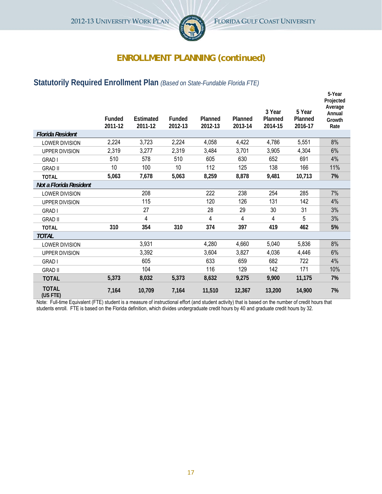

## **ENROLLMENT PLANNING (continued)**

## **Statutorily Required Enrollment Plan** *(Based on State-Fundable Florida FTE)*

|                          | <b>Funded</b><br>2011-12 | <b>Estimated</b><br>2011-12 | <b>Funded</b><br>2012-13 | Planned<br>2012-13 | Planned<br>2013-14 | 3 Year<br>Planned<br>2014-15 | 5 Year<br>Planned<br>2016-17 | 5-Year<br>Projected<br>Average<br>Annual<br>Growth<br>Rate |
|--------------------------|--------------------------|-----------------------------|--------------------------|--------------------|--------------------|------------------------------|------------------------------|------------------------------------------------------------|
| <b>Florida Resident</b>  |                          |                             |                          |                    |                    |                              |                              |                                                            |
| <b>LOWER DIVISION</b>    | 2,224                    | 3,723                       | 2,224                    | 4,058              | 4,422              | 4,786                        | 5,551                        | 8%                                                         |
| <b>UPPER DIVISION</b>    | 2,319                    | 3,277                       | 2,319                    | 3,484              | 3,701              | 3,905                        | 4,304                        | 6%                                                         |
| <b>GRAD I</b>            | 510                      | 578                         | 510                      | 605                | 630                | 652                          | 691                          | 4%                                                         |
| <b>GRAD II</b>           | 10                       | 100                         | 10                       | 112                | 125                | 138                          | 166                          | 11%                                                        |
| <b>TOTAL</b>             | 5,063                    | 7,678                       | 5,063                    | 8,259              | 8,878              | 9,481                        | 10,713                       | 7%                                                         |
| Not a Florida Resident   |                          |                             |                          |                    |                    |                              |                              |                                                            |
| <b>LOWER DIVISION</b>    |                          | 208                         |                          | 222                | 238                | 254                          | 285                          | 7%                                                         |
| <b>UPPER DIVISION</b>    |                          | 115                         |                          | 120                | 126                | 131                          | 142                          | 4%                                                         |
| <b>GRAD I</b>            |                          | 27                          |                          | 28                 | 29                 | 30                           | 31                           | 3%                                                         |
| <b>GRAD II</b>           |                          | 4                           |                          | 4                  | 4                  | 4                            | 5                            | 3%                                                         |
| <b>TOTAL</b>             | 310                      | 354                         | 310                      | 374                | 397                | 419                          | 462                          | 5%                                                         |
| <b>TOTAL</b>             |                          |                             |                          |                    |                    |                              |                              |                                                            |
| <b>LOWER DIVISION</b>    |                          | 3,931                       |                          | 4,280              | 4,660              | 5,040                        | 5,836                        | 8%                                                         |
| <b>UPPER DIVISION</b>    |                          | 3,392                       |                          | 3,604              | 3,827              | 4,036                        | 4,446                        | 6%                                                         |
| <b>GRAD I</b>            |                          | 605                         |                          | 633                | 659                | 682                          | 722                          | 4%                                                         |
| <b>GRAD II</b>           |                          | 104                         |                          | 116                | 129                | 142                          | 171                          | 10%                                                        |
| <b>TOTAL</b>             | 5,373                    | 8,032                       | 5,373                    | 8,632              | 9,275              | 9,900                        | 11,175                       | 7%                                                         |
| <b>TOTAL</b><br>(US FTE) | 7,164                    | 10,709                      | 7,164                    | 11,510             | 12,367             | 13,200                       | 14,900                       | 7%                                                         |

Note: Full-time Equivalent (FTE) student is a measure of instructional effort (and student activity) that is based on the number of credit hours that students enroll. FTE is based on the Florida definition, which divides undergraduate credit hours by 40 and graduate credit hours by 32.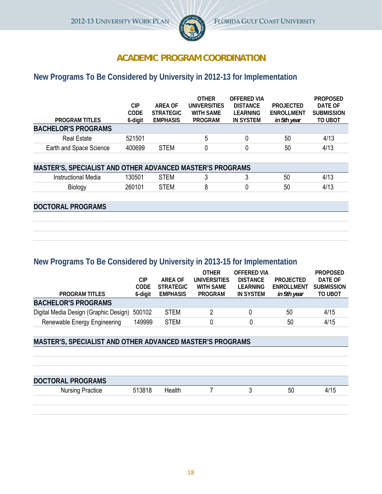

## **ACADEMIC PROGRAM COORDINATION**

## **New Programs To Be Considered by University in 2012-13 for Implementation**

|                            |         |                  | <b>OTHER</b>        | OFFFRED VIA     |                   | <b>PROPOSED</b>   |
|----------------------------|---------|------------------|---------------------|-----------------|-------------------|-------------------|
|                            | СIР     | ARFA OF          | <b>UNIVERSITIES</b> | <b>DISTANCE</b> | <b>PROJECTED</b>  | DATE OF           |
|                            | CODE    | <b>STRATEGIC</b> | <b>WITH SAME</b>    | I FARNING       | <b>FNROLLMENT</b> | <b>SUBMISSION</b> |
| <b>PROGRAM TITLES</b>      | 6-digit | <b>EMPHASIS</b>  | PROGRAM             | IN SYSTEM       | in 5th year       | TO UBOT           |
| <b>BACHELOR'S PROGRAMS</b> |         |                  |                     |                 |                   |                   |
| <b>Real Estate</b>         | 521501  |                  | 5                   |                 | 50                | 4/13              |
| Earth and Space Science    | 400699  | <b>STEM</b>      |                     |                 | 50                | 4/13              |
|                            |         |                  |                     |                 |                   |                   |

| <b>MASTER'S, SPECIALIST AND OTHER ADVANCED MASTER'S PROGRAMS</b> |        |      |  |    |      |
|------------------------------------------------------------------|--------|------|--|----|------|
| Instructional Media                                              | 30501  | ™FM  |  | 50 | 4/13 |
| Biology                                                          | 260101 | STFM |  | 50 | 4/13 |

#### **DOCTORAL PROGRAMS**

## **New Programs To Be Considered by University in 2013-15 for Implementation**

|                                       |         |                  | <b>OTHER</b>     | OFFFRED VIA     |                  | <b>PROPOSED</b>   |
|---------------------------------------|---------|------------------|------------------|-----------------|------------------|-------------------|
|                                       | СIР     | ARFA OF          | UNIVERSITIES     | <b>DISTANCE</b> | <b>PROJECTED</b> | DATE OF           |
|                                       | CODE    | <b>STRATEGIC</b> | <b>WITH SAME</b> | LEARNING        | ENROLLMENT       | <b>SUBMISSION</b> |
| <b>PROGRAM TITI FS</b>                | 6-diait | <b>EMPHASIS</b>  | <b>PROGRAM</b>   | IN SYSTEM       | in 5th year      | TO UBOT           |
| <b>BACHELOR'S PROGRAMS</b>            |         |                  |                  |                 |                  |                   |
| Digital Media Design (Graphic Design) | 500102  | <b>STEM</b>      |                  |                 | 50               | 4/15              |
| Renewable Energy Engineering          | 149999  | <b>STEM</b>      | 0                |                 | 50               | 4/15              |

#### **MASTER'S, SPECIALIST AND OTHER ADVANCED MASTER'S PROGRAMS**

| <b>DOCTORAL PROGRAMS</b> |        |        |  |    |      |
|--------------------------|--------|--------|--|----|------|
| <b>Nursing Practice</b>  | 513818 | Health |  | 50 | 4/15 |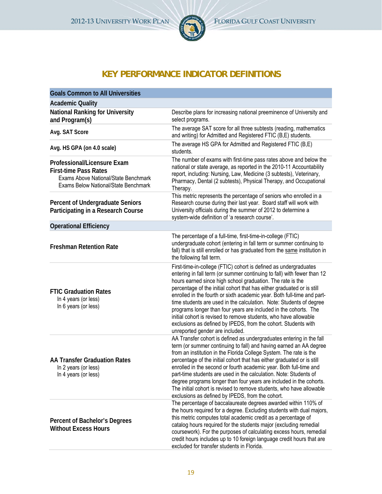

## **KEY PERFORMANCE INDICATOR DEFINITIONS**

| <b>Goals Common to All Universities</b>                                                                                                     |                                                                                                                                                                                                                                                                                                                                                                                                                                                                                                                                                                                                                                                                                    |
|---------------------------------------------------------------------------------------------------------------------------------------------|------------------------------------------------------------------------------------------------------------------------------------------------------------------------------------------------------------------------------------------------------------------------------------------------------------------------------------------------------------------------------------------------------------------------------------------------------------------------------------------------------------------------------------------------------------------------------------------------------------------------------------------------------------------------------------|
| <b>Academic Quality</b>                                                                                                                     |                                                                                                                                                                                                                                                                                                                                                                                                                                                                                                                                                                                                                                                                                    |
| <b>National Ranking for University</b><br>and Program(s)                                                                                    | Describe plans for increasing national preeminence of University and<br>select programs.                                                                                                                                                                                                                                                                                                                                                                                                                                                                                                                                                                                           |
| Avg. SAT Score                                                                                                                              | The average SAT score for all three subtests (reading, mathematics<br>and writing) for Admitted and Registered FTIC (B,E) students.                                                                                                                                                                                                                                                                                                                                                                                                                                                                                                                                                |
| Avg. HS GPA (on 4.0 scale)                                                                                                                  | The average HS GPA for Admitted and Registered FTIC (B,E)<br>students.                                                                                                                                                                                                                                                                                                                                                                                                                                                                                                                                                                                                             |
| Professional/Licensure Exam<br><b>First-time Pass Rates</b><br>Exams Above National/State Benchmark<br>Exams Below National/State Benchmark | The number of exams with first-time pass rates above and below the<br>national or state average, as reported in the 2010-11 Accountability<br>report, including: Nursing, Law, Medicine (3 subtests), Veterinary,<br>Pharmacy, Dental (2 subtests), Physical Therapy, and Occupational<br>Therapy.                                                                                                                                                                                                                                                                                                                                                                                 |
| <b>Percent of Undergraduate Seniors</b><br>Participating in a Research Course                                                               | This metric represents the percentage of seniors who enrolled in a<br>Research course during their last year. Board staff will work with<br>University officials during the summer of 2012 to determine a<br>system-wide definition of 'a research course'.                                                                                                                                                                                                                                                                                                                                                                                                                        |
| <b>Operational Efficiency</b>                                                                                                               |                                                                                                                                                                                                                                                                                                                                                                                                                                                                                                                                                                                                                                                                                    |
| <b>Freshman Retention Rate</b>                                                                                                              | The percentage of a full-time, first-time-in-college (FTIC)<br>undergraduate cohort (entering in fall term or summer continuing to<br>fall) that is still enrolled or has graduated from the same institution in<br>the following fall term.                                                                                                                                                                                                                                                                                                                                                                                                                                       |
| <b>FTIC Graduation Rates</b><br>In 4 years (or less)<br>In 6 years (or less)                                                                | First-time-in-college (FTIC) cohort is defined as undergraduates<br>entering in fall term (or summer continuing to fall) with fewer than 12<br>hours earned since high school graduation. The rate is the<br>percentage of the initial cohort that has either graduated or is still<br>enrolled in the fourth or sixth academic year. Both full-time and part-<br>time students are used in the calculation. Note: Students of degree<br>programs longer than four years are included in the cohorts. The<br>initial cohort is revised to remove students, who have allowable<br>exclusions as defined by IPEDS, from the cohort. Students with<br>unreported gender are included. |
| <b>AA Transfer Graduation Rates</b><br>In 2 years (or less)<br>In 4 years (or less)                                                         | AA Transfer cohort is defined as undergraduates entering in the fall<br>term (or summer continuing to fall) and having earned an AA degree<br>from an institution in the Florida College System. The rate is the<br>percentage of the initial cohort that has either graduated or is still<br>enrolled in the second or fourth academic year. Both full-time and<br>part-time students are used in the calculation. Note: Students of<br>degree programs longer than four years are included in the cohorts.<br>The initial cohort is revised to remove students, who have allowable<br>exclusions as defined by IPEDS, from the cohort.                                           |
| Percent of Bachelor's Degrees<br><b>Without Excess Hours</b>                                                                                | The percentage of baccalaureate degrees awarded within 110% of<br>the hours required for a degree. Excluding students with dual majors,<br>this metric computes total academic credit as a percentage of<br>catalog hours required for the students major (excluding remedial<br>coursework). For the purposes of calculating excess hours, remedial<br>credit hours includes up to 10 foreign language credit hours that are<br>excluded for transfer students in Florida.                                                                                                                                                                                                        |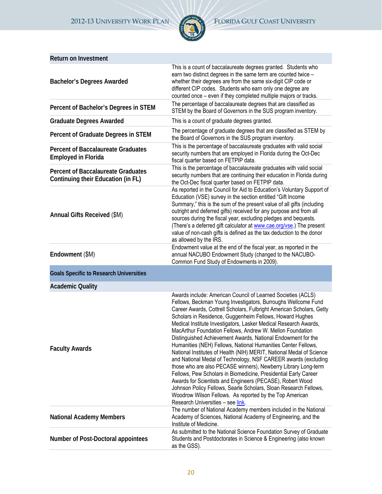

| <b>Return on Investment</b>                                                     |                                                                                                                                                                                                                                                                                                                                                                                                                                                                                                                                                                                                                                                                                                                                                                                                                                                                                                                                                                                                                                                     |
|---------------------------------------------------------------------------------|-----------------------------------------------------------------------------------------------------------------------------------------------------------------------------------------------------------------------------------------------------------------------------------------------------------------------------------------------------------------------------------------------------------------------------------------------------------------------------------------------------------------------------------------------------------------------------------------------------------------------------------------------------------------------------------------------------------------------------------------------------------------------------------------------------------------------------------------------------------------------------------------------------------------------------------------------------------------------------------------------------------------------------------------------------|
| <b>Bachelor's Degrees Awarded</b>                                               | This is a count of baccalaureate degrees granted. Students who<br>earn two distinct degrees in the same term are counted twice -<br>whether their degrees are from the same six-digit CIP code or<br>different CIP codes. Students who earn only one degree are<br>counted once - even if they completed multiple majors or tracks.                                                                                                                                                                                                                                                                                                                                                                                                                                                                                                                                                                                                                                                                                                                 |
| Percent of Bachelor's Degrees in STEM                                           | The percentage of baccalaureate degrees that are classified as<br>STEM by the Board of Governors in the SUS program inventory.                                                                                                                                                                                                                                                                                                                                                                                                                                                                                                                                                                                                                                                                                                                                                                                                                                                                                                                      |
| <b>Graduate Degrees Awarded</b>                                                 | This is a count of graduate degrees granted.                                                                                                                                                                                                                                                                                                                                                                                                                                                                                                                                                                                                                                                                                                                                                                                                                                                                                                                                                                                                        |
| Percent of Graduate Degrees in STEM                                             | The percentage of graduate degrees that are classified as STEM by<br>the Board of Governors in the SUS program inventory.                                                                                                                                                                                                                                                                                                                                                                                                                                                                                                                                                                                                                                                                                                                                                                                                                                                                                                                           |
| <b>Percent of Baccalaureate Graduates</b><br><b>Employed in Florida</b>         | This is the percentage of baccalaureate graduates with valid social<br>security numbers that are employed in Florida during the Oct-Dec<br>fiscal quarter based on FETPIP data.                                                                                                                                                                                                                                                                                                                                                                                                                                                                                                                                                                                                                                                                                                                                                                                                                                                                     |
| <b>Percent of Baccalaureate Graduates</b><br>Continuing their Education (in FL) | This is the percentage of baccalaureate graduates with valid social<br>security numbers that are continuing their education in Florida during<br>the Oct-Dec fiscal quarter based on FETPIP data.                                                                                                                                                                                                                                                                                                                                                                                                                                                                                                                                                                                                                                                                                                                                                                                                                                                   |
| Annual Gifts Received (\$M)                                                     | As reported in the Council for Aid to Education's Voluntary Support of<br>Education (VSE) survey in the section entitled "Gift Income<br>Summary," this is the sum of the present value of all gifts (including<br>outright and deferred gifts) received for any purpose and from all<br>sources during the fiscal year, excluding pledges and bequests.<br>(There's a deferred gift calculator at www.cae.org/vse.) The present<br>value of non-cash gifts is defined as the tax deduction to the donor<br>as allowed by the IRS.                                                                                                                                                                                                                                                                                                                                                                                                                                                                                                                  |
| Endowment (\$M)                                                                 | Endowment value at the end of the fiscal year, as reported in the<br>annual NACUBO Endowment Study (changed to the NACUBO-<br>Common Fund Study of Endowments in 2009).                                                                                                                                                                                                                                                                                                                                                                                                                                                                                                                                                                                                                                                                                                                                                                                                                                                                             |
| <b>Goals Specific to Research Universities</b>                                  |                                                                                                                                                                                                                                                                                                                                                                                                                                                                                                                                                                                                                                                                                                                                                                                                                                                                                                                                                                                                                                                     |
| <b>Academic Quality</b>                                                         |                                                                                                                                                                                                                                                                                                                                                                                                                                                                                                                                                                                                                                                                                                                                                                                                                                                                                                                                                                                                                                                     |
| <b>Faculty Awards</b>                                                           | Awards include: American Council of Learned Societies (ACLS)<br>Fellows, Beckman Young Investigators, Burroughs Wellcome Fund<br>Career Awards, Cottrell Scholars, Fulbright American Scholars, Getty<br>Scholars in Residence, Guggenheim Fellows, Howard Hughes<br>Medical Institute Investigators, Lasker Medical Research Awards,<br>MacArthur Foundation Fellows, Andrew W. Mellon Foundation<br>Distinguished Achievement Awards, National Endowment for the<br>Humanities (NEH) Fellows, National Humanities Center Fellows,<br>National Institutes of Health (NIH) MERIT, National Medal of Science<br>and National Medal of Technology, NSF CAREER awards (excluding<br>those who are also PECASE winners), Newberry Library Long-term<br>Fellows, Pew Scholars in Biomedicine, Presidential Early Career<br>Awards for Scientists and Engineers (PECASE), Robert Wood<br>Johnson Policy Fellows, Searle Scholars, Sloan Research Fellows,<br>Woodrow Wilson Fellows. As reported by the Top American<br>Research Universities - see link. |
| <b>National Academy Members</b>                                                 | The number of National Academy members included in the National<br>Academy of Sciences, National Academy of Engineering, and the<br>Institute of Medicine.                                                                                                                                                                                                                                                                                                                                                                                                                                                                                                                                                                                                                                                                                                                                                                                                                                                                                          |
| Number of Post-Doctoral appointees                                              | As submitted to the National Science Foundation Survey of Graduate<br>Students and Postdoctorates in Science & Engineering (also known<br>as the GSS).                                                                                                                                                                                                                                                                                                                                                                                                                                                                                                                                                                                                                                                                                                                                                                                                                                                                                              |